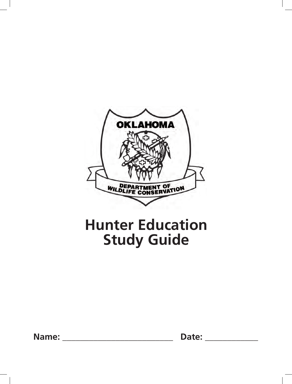

# **Hunter Education Study Guide**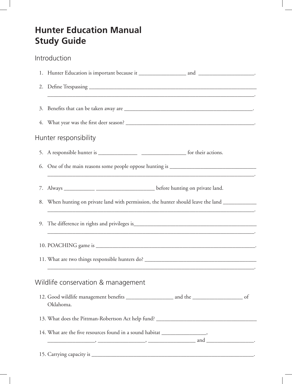## **Hunter Education Manual Study Guide**

### Introduction

| ,我们也不能在这里的时候,我们也不能在这里的时候,我们也不能会在这里的时候,我们也不能会在这里的时候,我们也不能会在这里的时候,我们也不能会在这里的时候,我们也不                                                                                                       |
|-----------------------------------------------------------------------------------------------------------------------------------------------------------------------------------------|
|                                                                                                                                                                                         |
|                                                                                                                                                                                         |
| Hunter responsibility                                                                                                                                                                   |
|                                                                                                                                                                                         |
| 6. One of the main reasons some people oppose hunting is ________________________<br>,我们也不会有什么。""我们的人,我们也不会有什么?""我们的人,我们也不会有什么?""我们的人,我们也不会有什么?""我们的人,我们也不会有什么?""我们的人                   |
|                                                                                                                                                                                         |
| 8. When hunting on private land with permission, the hunter should leave the land _________________<br>,我们也不会有什么。""我们的人,我们也不会有什么?""我们的人,我们也不会有什么?""我们的人,我们也不会有什么?""我们的人,我们也不会有什么?""我们的人 |
|                                                                                                                                                                                         |
|                                                                                                                                                                                         |
| and the control of the control of the control of the control of the control of the control of the control of the                                                                        |
| Wildlife conservation & management                                                                                                                                                      |
| Oklahoma.                                                                                                                                                                               |
|                                                                                                                                                                                         |
| 14. What are the five resources found in a sound habitat ______________________,<br>$\overline{\phantom{a}}$ and $\overline{\phantom{a}}$ .                                             |
|                                                                                                                                                                                         |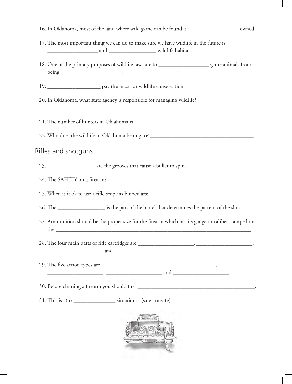| 16. In Oklahoma, most of the land where wild game can be found is ___________________ owned.              |
|-----------------------------------------------------------------------------------------------------------|
| 17. The most important thing we can do to make sure we have wildlife in the future is                     |
| 18. One of the primary purposes of wildlife laws are to ______________________ game animals from          |
| 19. _________________________ pay the most for wildlife conservation.                                     |
| 20. In Oklahoma, what state agency is responsible for managing wildlife? __________________________       |
|                                                                                                           |
| 22. Who does the wildlife in Oklahoma belong to? _________________________________.                       |
| Rifles and shotguns                                                                                       |
| 23. ____________________ are the grooves that cause a bullet to spin.                                     |
|                                                                                                           |
|                                                                                                           |
| 26. The _____________________ is the part of the barrel that determines the pattern of the shot.          |
| 27. Ammunition should be the proper size for the firearm which has its gauge or caliber stamped on<br>the |
| $\frac{1}{2}$ and $\frac{1}{2}$ .                                                                         |
| $\overbrace{\hspace{2.5cm}}$ and $\overbrace{\hspace{2.5cm}}$ and $\overbrace{\hspace{2.5cm}}$            |
|                                                                                                           |
| 31. This is a(n) ______________________ situation. (safe   unsafe)                                        |
|                                                                                                           |

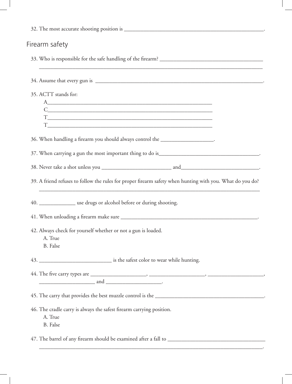| Firearm safety                                                                                                                                                                                                                                                                                |
|-----------------------------------------------------------------------------------------------------------------------------------------------------------------------------------------------------------------------------------------------------------------------------------------------|
| <u> 1980 - Johann Stoff, deutscher Stoff, der Stoff, der Stoff, der Stoff, der Stoff, der Stoff, der Stoff, der S</u>                                                                                                                                                                         |
|                                                                                                                                                                                                                                                                                               |
| 35. ACTT stands for:                                                                                                                                                                                                                                                                          |
| A                                                                                                                                                                                                                                                                                             |
| $C_{\underline{\hspace{1cm}}}\qquad \qquad \overline{\hspace{1cm}}$                                                                                                                                                                                                                           |
|                                                                                                                                                                                                                                                                                               |
| 36. When handling a firearm you should always control the ____________________.                                                                                                                                                                                                               |
|                                                                                                                                                                                                                                                                                               |
|                                                                                                                                                                                                                                                                                               |
| 39. A friend refuses to follow the rules for proper firearm safety when hunting with you. What do you do?                                                                                                                                                                                     |
| 40. ________________ use drugs or alcohol before or during shooting.                                                                                                                                                                                                                          |
|                                                                                                                                                                                                                                                                                               |
| 42. Always check for yourself whether or not a gun is loaded.<br>A. True<br><b>B.</b> False                                                                                                                                                                                                   |
|                                                                                                                                                                                                                                                                                               |
| $\frac{1}{2}$ and $\frac{1}{2}$ and $\frac{1}{2}$ and $\frac{1}{2}$ and $\frac{1}{2}$ and $\frac{1}{2}$ and $\frac{1}{2}$ and $\frac{1}{2}$ and $\frac{1}{2}$ and $\frac{1}{2}$ and $\frac{1}{2}$ and $\frac{1}{2}$ and $\frac{1}{2}$ and $\frac{1}{2}$ and $\frac{1}{2}$ and $\frac{1}{2}$ a |
|                                                                                                                                                                                                                                                                                               |
| 46. The cradle carry is always the safest firearm carrying position.<br>A. True<br>B. False                                                                                                                                                                                                   |
|                                                                                                                                                                                                                                                                                               |
|                                                                                                                                                                                                                                                                                               |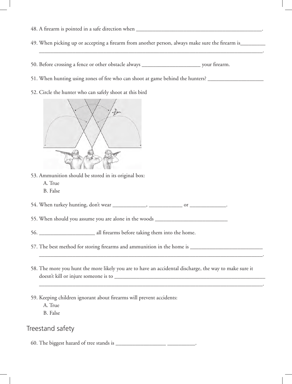- 48. A firearm is pointed in a safe direction when \_\_\_\_\_\_\_\_\_\_\_\_\_\_\_\_\_\_\_\_\_\_\_\_\_\_\_\_\_\_\_\_\_\_\_\_\_\_\_\_\_\_\_\_\_.
- 49. When picking up or accepting a firearm from another person, always make sure the firearm is\_\_\_\_\_\_\_\_\_\_

\_\_\_\_\_\_\_\_\_\_\_\_\_\_\_\_\_\_\_\_\_\_\_\_\_\_\_\_\_\_\_\_\_\_\_\_\_\_\_\_\_\_\_\_\_\_\_\_\_\_\_\_\_\_\_\_\_\_\_\_\_\_\_\_\_\_\_\_\_\_\_\_\_\_\_\_\_\_\_\_.

- 50. Before crossing a fence or other obstacle always \_\_\_\_\_\_\_\_\_\_\_\_\_\_\_\_\_\_\_\_\_\_\_\_\_\_\_\_ your firearm.
- 51. When hunting using zones of fire who can shoot at game behind the hunters? \_\_\_\_\_\_\_\_\_\_\_\_\_\_\_\_\_\_\_\_\_\_\_\_\_\_\_\_\_\_\_
- 52. Circle the hunter who can safely shoot at this bird



- 53. Ammunition should be stored in its original box:
	- A. True
	- B. False
- 54. When turkey hunting, don't wear \_\_\_\_\_\_\_\_\_\_\_\_, \_\_\_\_\_\_\_\_\_\_\_\_ or \_\_\_\_\_\_\_\_\_\_\_\_\_.

55. When should you assume you are alone in the woods \_\_\_\_\_\_\_\_\_\_\_\_\_\_\_\_\_\_\_\_\_\_\_\_\_\_

56. \_\_\_\_\_\_\_\_\_\_\_\_\_\_\_\_\_\_\_\_\_\_\_\_ all firearms before taking them into the home.

57. The best method for storing firearms and ammunition in the home is \_\_\_\_\_\_\_\_\_\_\_\_\_\_\_\_\_\_\_\_\_\_\_\_\_\_

58. The more you hunt the more likely you are to have an accidental discharge, the way to make sure it doesn't kill or injure someone is to \_\_\_\_\_\_\_\_\_\_\_\_\_\_\_\_\_\_\_\_\_\_\_\_\_\_\_\_\_\_\_\_\_\_\_\_\_\_\_\_\_\_\_\_\_\_\_\_\_\_\_\_\_\_

\_\_\_\_\_\_\_\_\_\_\_\_\_\_\_\_\_\_\_\_\_\_\_\_\_\_\_\_\_\_\_\_\_\_\_\_\_\_\_\_\_\_\_\_\_\_\_\_\_\_\_\_\_\_\_\_\_\_\_\_\_\_\_\_\_\_\_\_\_\_\_\_\_\_\_\_\_\_\_\_.

\_\_\_\_\_\_\_\_\_\_\_\_\_\_\_\_\_\_\_\_\_\_\_\_\_\_\_\_\_\_\_\_\_\_\_\_\_\_\_\_\_\_\_\_\_\_\_\_\_\_\_\_\_\_\_\_\_\_\_\_\_\_\_\_\_\_\_\_\_\_\_\_\_\_\_\_\_\_\_\_.

59. Keeping children ignorant about firearms will prevent accidents:

A. True

B. False

Treestand safety

60. The biggest hazard of tree stands is \_\_\_\_\_\_\_\_\_\_\_\_\_\_\_\_\_\_ \_\_\_\_\_\_\_\_\_\_.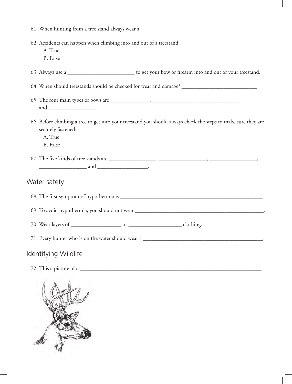| 62. Accidents can happen when climbing into and out of a treestand.<br>A. True<br><b>B.</b> False                                                                                                                                                                                             |
|-----------------------------------------------------------------------------------------------------------------------------------------------------------------------------------------------------------------------------------------------------------------------------------------------|
| 63. Always use a ______________________________ to get your bow or firearm into and out of your treestand.                                                                                                                                                                                    |
| 64. When should treestands should be checked for wear and damage? __________________________________                                                                                                                                                                                          |
|                                                                                                                                                                                                                                                                                               |
| 66. Before climbing a tree to get into your treestand you should always check the steps to make sure they are<br>securely fastened:<br>A. True<br><b>B.</b> False                                                                                                                             |
| $\frac{1}{2}$ and $\frac{1}{2}$ and $\frac{1}{2}$ and $\frac{1}{2}$ and $\frac{1}{2}$ and $\frac{1}{2}$ and $\frac{1}{2}$ and $\frac{1}{2}$ and $\frac{1}{2}$ and $\frac{1}{2}$ and $\frac{1}{2}$ and $\frac{1}{2}$ and $\frac{1}{2}$ and $\frac{1}{2}$ and $\frac{1}{2}$ and $\frac{1}{2}$ a |
| Water safety                                                                                                                                                                                                                                                                                  |
|                                                                                                                                                                                                                                                                                               |
|                                                                                                                                                                                                                                                                                               |
|                                                                                                                                                                                                                                                                                               |
|                                                                                                                                                                                                                                                                                               |
| Identifying Wildlife                                                                                                                                                                                                                                                                          |
|                                                                                                                                                                                                                                                                                               |
|                                                                                                                                                                                                                                                                                               |



 $\begin{array}{c} \hline \end{array}$